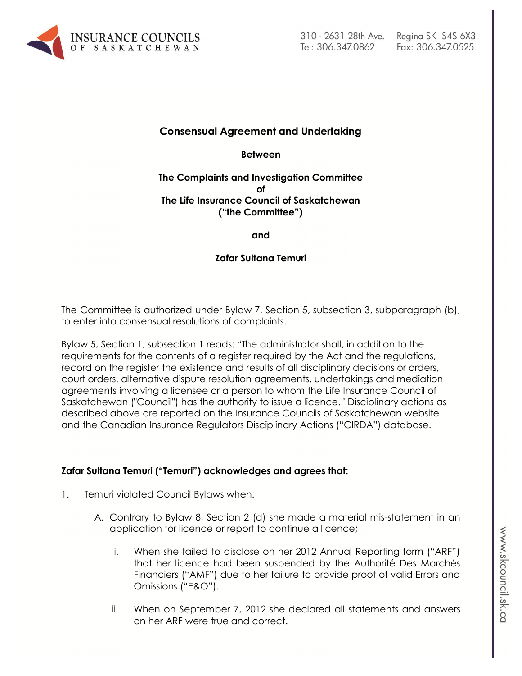

# **Consensual Agreement and Undertaking**

**Between**

#### **The Complaints and Investigation Committee of The Life Insurance Council of Saskatchewan ("the Committee")**

**and**

### **Zafar Sultana Temuri**

The Committee is authorized under Bylaw 7, Section 5, subsection 3, subparagraph (b), to enter into consensual resolutions of complaints.

Bylaw 5, Section 1, subsection 1 reads: "The administrator shall, in addition to the requirements for the contents of a register required by the Act and the regulations, record on the register the existence and results of all disciplinary decisions or orders, court orders, alternative dispute resolution agreements, undertakings and mediation agreements involving a licensee or a person to whom the Life Insurance Council of Saskatchewan ("Council") has the authority to issue a licence." Disciplinary actions as described above are reported on the Insurance Councils of Saskatchewan website and the Canadian Insurance Regulators Disciplinary Actions ("CIRDA") database.

# **Zafar Sultana Temuri ("Temuri") acknowledges and agrees that:**

- 1. Temuri violated Council Bylaws when:
	- A. Contrary to Bylaw 8, Section 2 (d) she made a material mis-statement in an application for licence or report to continue a licence;
		- i. When she failed to disclose on her 2012 Annual Reporting form ("ARF") that her licence had been suspended by the Authorité Des Marchés Financiers ("AMF") due to her failure to provide proof of valid Errors and Omissions ("E&O").
		- ii. When on September 7, 2012 she declared all statements and answers on her ARF were true and correct.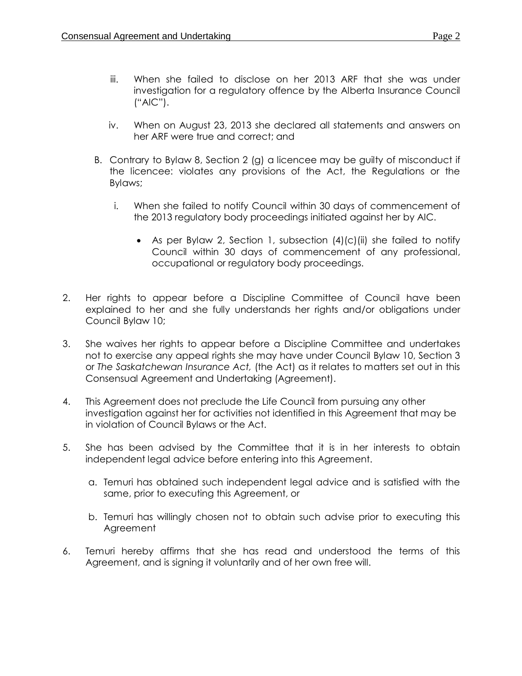- iii. When she failed to disclose on her 2013 ARF that she was under investigation for a regulatory offence by the Alberta Insurance Council ("AIC").
- iv. When on August 23, 2013 she declared all statements and answers on her ARF were true and correct; and
- B. Contrary to Bylaw 8, Section 2 (g) a licencee may be guilty of misconduct if the licencee: violates any provisions of the Act, the Regulations or the Bylaws;
	- i. When she failed to notify Council within 30 days of commencement of the 2013 regulatory body proceedings initiated against her by AIC.
		- As per Bylaw 2, Section 1, subsection  $(4)(c)(ii)$  she failed to notify Council within 30 days of commencement of any professional, occupational or regulatory body proceedings.
- 2. Her rights to appear before a Discipline Committee of Council have been explained to her and she fully understands her rights and/or obligations under Council Bylaw 10;
- 3. She waives her rights to appear before a Discipline Committee and undertakes not to exercise any appeal rights she may have under Council Bylaw 10, Section 3 or *The Saskatchewan Insurance Act,* (the Act) as it relates to matters set out in this Consensual Agreement and Undertaking (Agreement).
- 4. This Agreement does not preclude the Life Council from pursuing any other investigation against her for activities not identified in this Agreement that may be in violation of Council Bylaws or the Act.
- 5. She has been advised by the Committee that it is in her interests to obtain independent legal advice before entering into this Agreement.
	- a. Temuri has obtained such independent legal advice and is satisfied with the same, prior to executing this Agreement, or
	- b. Temuri has willingly chosen not to obtain such advise prior to executing this Agreement
- 6. Temuri hereby affirms that she has read and understood the terms of this Agreement, and is signing it voluntarily and of her own free will.